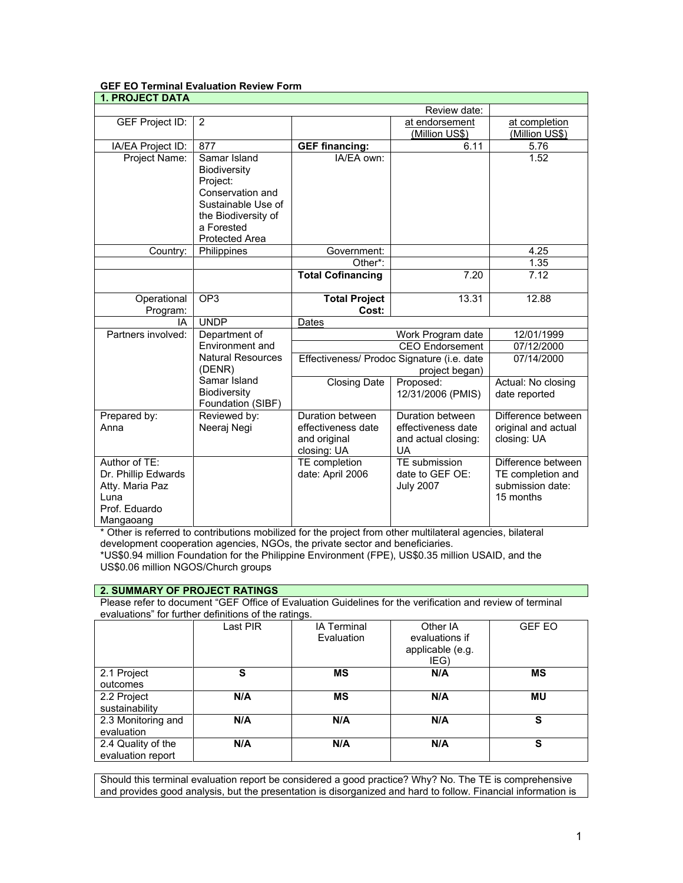## **GEF EO Terminal Evaluation Review Form**

| <b>1. PROJECT DATA</b> |                          |                                            |                        |                     |
|------------------------|--------------------------|--------------------------------------------|------------------------|---------------------|
|                        |                          |                                            | Review date:           |                     |
| GEF Project ID:        | 2                        |                                            | at endorsement         | at completion       |
|                        |                          |                                            | (Million US\$)         | (Million US\$)      |
| IA/EA Project ID:      | 877                      | <b>GEF financing:</b>                      | 6.11                   | 5.76                |
| Project Name:          | Samar Island             | IA/EA own:                                 |                        | 1.52                |
|                        | Biodiversity             |                                            |                        |                     |
|                        | Project:                 |                                            |                        |                     |
|                        | Conservation and         |                                            |                        |                     |
|                        | Sustainable Use of       |                                            |                        |                     |
|                        | the Biodiversity of      |                                            |                        |                     |
|                        | a Forested               |                                            |                        |                     |
|                        | Protected Area           |                                            |                        |                     |
| Country:               | Philippines              | Government:                                |                        | 4.25                |
|                        |                          | Other*:                                    |                        | 1.35                |
|                        |                          | <b>Total Cofinancing</b>                   | 7.20                   | 7.12                |
| Operational            | OP <sub>3</sub>          | <b>Total Project</b>                       | 13.31                  | 12.88               |
| Program:               |                          | Cost:                                      |                        |                     |
| IA                     | <b>UNDP</b>              | Dates                                      |                        |                     |
| Partners involved:     | Department of            | Work Program date                          |                        | 12/01/1999          |
|                        | Environment and          |                                            | <b>CEO</b> Endorsement | 07/12/2000          |
|                        | <b>Natural Resources</b> | Effectiveness/ Prodoc Signature (i.e. date |                        | 07/14/2000          |
|                        | (DENR)                   | project began)                             |                        |                     |
|                        | Samar Island             | <b>Closing Date</b>                        | Proposed:              | Actual: No closing  |
|                        | <b>Biodiversity</b>      |                                            | 12/31/2006 (PMIS)      | date reported       |
|                        | Foundation (SIBF)        |                                            |                        |                     |
| Prepared by:           | Reviewed by:             | Duration between                           | Duration between       | Difference between  |
| Anna                   | Neeraj Negi              | effectiveness date                         | effectiveness date     | original and actual |
|                        |                          | and original                               | and actual closing:    | closing: UA         |
|                        |                          | closing: UA                                | <b>UA</b>              |                     |
| Author of TE:          |                          | TE completion                              | TE submission          | Difference between  |
| Dr. Phillip Edwards    |                          | date: April 2006                           | date to GEF OE:        | TE completion and   |
| Atty. Maria Paz        |                          |                                            | <b>July 2007</b>       | submission date:    |
| Luna                   |                          |                                            |                        | 15 months           |
| Prof. Eduardo          |                          |                                            |                        |                     |
| Mangaoang              |                          |                                            |                        |                     |

\* Other is referred to contributions mobilized for the project from other multilateral agencies, bilateral development cooperation agencies, NGOs, the private sector and beneficiaries.

\*US\$0.94 million Foundation for the Philippine Environment (FPE), US\$0.35 million USAID, and the US\$0.06 million NGOS/Church groups

#### **2. SUMMARY OF PROJECT RATINGS**

Please refer to document "GEF Office of Evaluation Guidelines for the verification and review of terminal evaluations" for further definitions of the ratings.

|                                         | Last PIR | <b>IA Terminal</b><br>Evaluation | Other IA<br>evaluations if<br>applicable (e.g.<br>IEG) | <b>GEF EO</b> |
|-----------------------------------------|----------|----------------------------------|--------------------------------------------------------|---------------|
| 2.1 Project<br>outcomes                 | S        | <b>MS</b>                        | N/A                                                    | <b>MS</b>     |
| 2.2 Project<br>sustainability           | N/A      | <b>MS</b>                        | N/A                                                    | MU            |
| 2.3 Monitoring and<br>evaluation        | N/A      | N/A                              | N/A                                                    | s             |
| 2.4 Quality of the<br>evaluation report | N/A      | N/A                              | N/A                                                    | S             |

Should this terminal evaluation report be considered a good practice? Why? No. The TE is comprehensive and provides good analysis, but the presentation is disorganized and hard to follow. Financial information is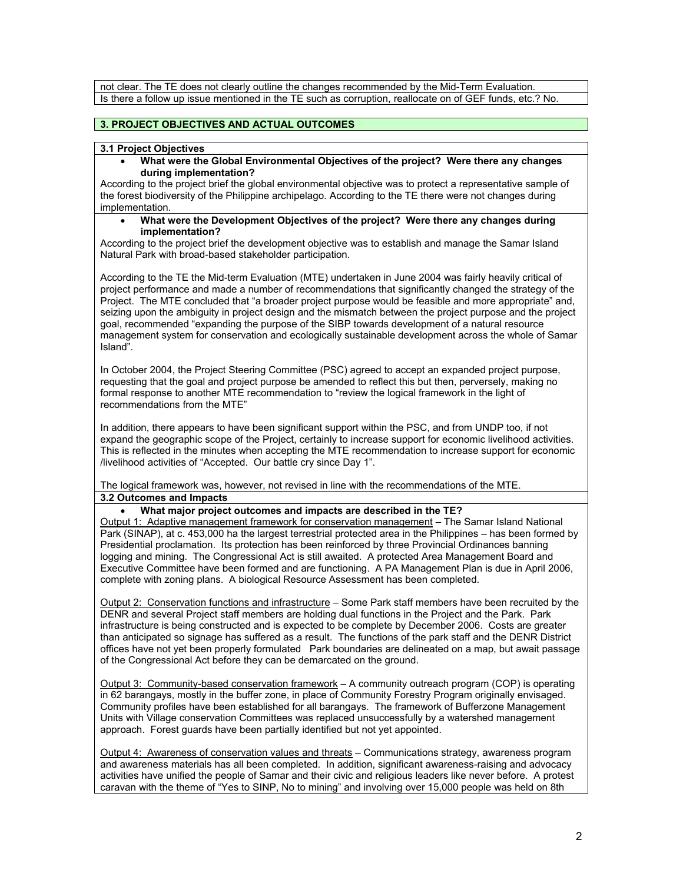not clear. The TE does not clearly outline the changes recommended by the Mid-Term Evaluation. Is there a follow up issue mentioned in the TE such as corruption, reallocate on of GEF funds, etc.? No.

# **3. PROJECT OBJECTIVES AND ACTUAL OUTCOMES**

### **3.1 Project Objectives**

• **What were the Global Environmental Objectives of the project? Were there any changes during implementation?**

According to the project brief the global environmental objective was to protect a representative sample of the forest biodiversity of the Philippine archipelago. According to the TE there were not changes during implementation.

• **What were the Development Objectives of the project? Were there any changes during implementation?**

According to the project brief the development objective was to establish and manage the Samar Island Natural Park with broad-based stakeholder participation.

According to the TE the Mid-term Evaluation (MTE) undertaken in June 2004 was fairly heavily critical of project performance and made a number of recommendations that significantly changed the strategy of the Project. The MTE concluded that "a broader project purpose would be feasible and more appropriate" and, seizing upon the ambiguity in project design and the mismatch between the project purpose and the project goal, recommended "expanding the purpose of the SIBP towards development of a natural resource management system for conservation and ecologically sustainable development across the whole of Samar Island".

In October 2004, the Project Steering Committee (PSC) agreed to accept an expanded project purpose, requesting that the goal and project purpose be amended to reflect this but then, perversely, making no formal response to another MTE recommendation to "review the logical framework in the light of recommendations from the MTE"

In addition, there appears to have been significant support within the PSC, and from UNDP too, if not expand the geographic scope of the Project, certainly to increase support for economic livelihood activities. This is reflected in the minutes when accepting the MTE recommendation to increase support for economic /livelihood activities of "Accepted. Our battle cry since Day 1".

The logical framework was, however, not revised in line with the recommendations of the MTE. **3.2 Outcomes and Impacts**

### • **What major project outcomes and impacts are described in the TE?**

Output 1: Adaptive management framework for conservation management – The Samar Island National Park (SINAP), at c. 453,000 ha the largest terrestrial protected area in the Philippines – has been formed by Presidential proclamation. Its protection has been reinforced by three Provincial Ordinances banning logging and mining. The Congressional Act is still awaited. A protected Area Management Board and Executive Committee have been formed and are functioning. A PA Management Plan is due in April 2006, complete with zoning plans. A biological Resource Assessment has been completed.

Output 2: Conservation functions and infrastructure – Some Park staff members have been recruited by the DENR and several Project staff members are holding dual functions in the Project and the Park. Park infrastructure is being constructed and is expected to be complete by December 2006. Costs are greater than anticipated so signage has suffered as a result. The functions of the park staff and the DENR District offices have not yet been properly formulated Park boundaries are delineated on a map, but await passage of the Congressional Act before they can be demarcated on the ground.

Output 3: Community-based conservation framework – A community outreach program (COP) is operating in 62 barangays, mostly in the buffer zone, in place of Community Forestry Program originally envisaged. Community profiles have been established for all barangays. The framework of Bufferzone Management Units with Village conservation Committees was replaced unsuccessfully by a watershed management approach. Forest guards have been partially identified but not yet appointed.

Output 4: Awareness of conservation values and threats – Communications strategy, awareness program and awareness materials has all been completed. In addition, significant awareness-raising and advocacy activities have unified the people of Samar and their civic and religious leaders like never before. A protest caravan with the theme of "Yes to SINP, No to mining" and involving over 15,000 people was held on 8th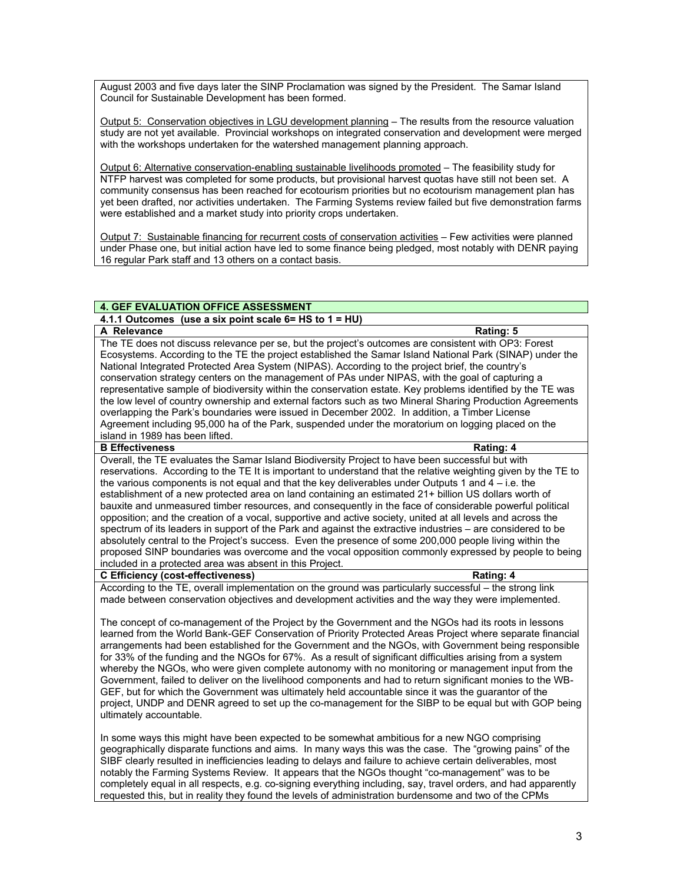August 2003 and five days later the SINP Proclamation was signed by the President. The Samar Island Council for Sustainable Development has been formed.

Output 5: Conservation objectives in LGU development planning – The results from the resource valuation study are not yet available. Provincial workshops on integrated conservation and development were merged with the workshops undertaken for the watershed management planning approach.

Output 6: Alternative conservation-enabling sustainable livelihoods promoted – The feasibility study for NTFP harvest was completed for some products, but provisional harvest quotas have still not been set. A community consensus has been reached for ecotourism priorities but no ecotourism management plan has yet been drafted, nor activities undertaken. The Farming Systems review failed but five demonstration farms were established and a market study into priority crops undertaken.

Output 7: Sustainable financing for recurrent costs of conservation activities – Few activities were planned under Phase one, but initial action have led to some finance being pledged, most notably with DENR paying 16 regular Park staff and 13 others on a contact basis.

# **4. GEF EVALUATION OFFICE ASSESSMENT**

**4.1.1 Outcomes (use a six point scale 6= HS to 1 = HU)** 

**A Relevance** Rating: 5 The TE does not discuss relevance per se, but the project's outcomes are consistent with OP3: Forest Ecosystems. According to the TE the project established the Samar Island National Park (SINAP) under the National Integrated Protected Area System (NIPAS). According to the project brief, the country's conservation strategy centers on the management of PAs under NIPAS, with the goal of capturing a representative sample of biodiversity within the conservation estate. Key problems identified by the TE was the low level of country ownership and external factors such as two Mineral Sharing Production Agreements overlapping the Park's boundaries were issued in December 2002. In addition, a Timber License Agreement including 95,000 ha of the Park, suspended under the moratorium on logging placed on the island in 1989 has been lifted.

#### **B Effectiveness** Rating: 4

Overall, the TE evaluates the Samar Island Biodiversity Project to have been successful but with reservations. According to the TE It is important to understand that the relative weighting given by the TE to the various components is not equal and that the key deliverables under Outputs 1 and  $4 - i.e.$  the establishment of a new protected area on land containing an estimated 21+ billion US dollars worth of bauxite and unmeasured timber resources, and consequently in the face of considerable powerful political opposition; and the creation of a vocal, supportive and active society, united at all levels and across the spectrum of its leaders in support of the Park and against the extractive industries – are considered to be absolutely central to the Project's success. Even the presence of some 200,000 people living within the proposed SINP boundaries was overcome and the vocal opposition commonly expressed by people to being included in a protected area was absent in this Project.

#### **C Efficiency (cost-effectiveness) Rating: 4**

According to the TE, overall implementation on the ground was particularly successful – the strong link made between conservation objectives and development activities and the way they were implemented.

The concept of co-management of the Project by the Government and the NGOs had its roots in lessons learned from the World Bank-GEF Conservation of Priority Protected Areas Project where separate financial arrangements had been established for the Government and the NGOs, with Government being responsible for 33% of the funding and the NGOs for 67%. As a result of significant difficulties arising from a system whereby the NGOs, who were given complete autonomy with no monitoring or management input from the Government, failed to deliver on the livelihood components and had to return significant monies to the WB-GEF, but for which the Government was ultimately held accountable since it was the guarantor of the project, UNDP and DENR agreed to set up the co-management for the SIBP to be equal but with GOP being ultimately accountable.

In some ways this might have been expected to be somewhat ambitious for a new NGO comprising geographically disparate functions and aims. In many ways this was the case. The "growing pains" of the SIBF clearly resulted in inefficiencies leading to delays and failure to achieve certain deliverables, most notably the Farming Systems Review. It appears that the NGOs thought "co-management" was to be completely equal in all respects, e.g. co-signing everything including, say, travel orders, and had apparently requested this, but in reality they found the levels of administration burdensome and two of the CPMs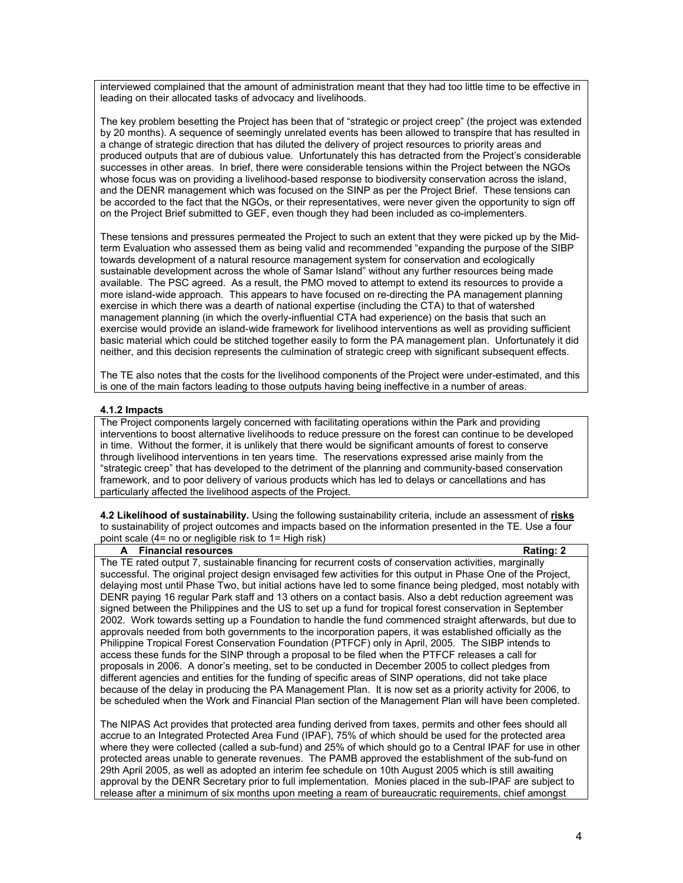interviewed complained that the amount of administration meant that they had too little time to be effective in leading on their allocated tasks of advocacy and livelihoods.

The key problem besetting the Project has been that of "strategic or project creep" (the project was extended by 20 months). A sequence of seemingly unrelated events has been allowed to transpire that has resulted in a change of strategic direction that has diluted the delivery of project resources to priority areas and produced outputs that are of dubious value. Unfortunately this has detracted from the Project's considerable successes in other areas. In brief, there were considerable tensions within the Project between the NGOs whose focus was on providing a livelihood-based response to biodiversity conservation across the island, and the DENR management which was focused on the SINP as per the Project Brief. These tensions can be accorded to the fact that the NGOs, or their representatives, were never given the opportunity to sign off on the Project Brief submitted to GEF, even though they had been included as co-implementers.

These tensions and pressures permeated the Project to such an extent that they were picked up by the Midterm Evaluation who assessed them as being valid and recommended "expanding the purpose of the SIBP towards development of a natural resource management system for conservation and ecologically sustainable development across the whole of Samar Island" without any further resources being made available. The PSC agreed. As a result, the PMO moved to attempt to extend its resources to provide a more island-wide approach. This appears to have focused on re-directing the PA management planning exercise in which there was a dearth of national expertise (including the CTA) to that of watershed management planning (in which the overly-influential CTA had experience) on the basis that such an exercise would provide an island-wide framework for livelihood interventions as well as providing sufficient basic material which could be stitched together easily to form the PA management plan. Unfortunately it did neither, and this decision represents the culmination of strategic creep with significant subsequent effects.

The TE also notes that the costs for the livelihood components of the Project were under-estimated, and this is one of the main factors leading to those outputs having being ineffective in a number of areas.

### **4.1.2 Impacts**

The Project components largely concerned with facilitating operations within the Park and providing interventions to boost alternative livelihoods to reduce pressure on the forest can continue to be developed in time. Without the former, it is unlikely that there would be significant amounts of forest to conserve through livelihood interventions in ten years time. The reservations expressed arise mainly from the "strategic creep" that has developed to the detriment of the planning and community-based conservation framework, and to poor delivery of various products which has led to delays or cancellations and has particularly affected the livelihood aspects of the Project.

**4.2 Likelihood of sustainability.** Using the following sustainability criteria, include an assessment of **risks** to sustainability of project outcomes and impacts based on the information presented in the TE. Use a four point scale (4= no or negligible risk to 1= High risk)

#### **A** Financial resources **Rational Rational Rational Rational Rational Rational Rational Rational Rational Rational Rational Rational Rational Rational Rational Rational Rational Rational Rational Rational Rational Rational**

The TE rated output 7, sustainable financing for recurrent costs of conservation activities, marginally successful. The original project design envisaged few activities for this output in Phase One of the Project, delaying most until Phase Two, but initial actions have led to some finance being pledged, most notably with DENR paying 16 regular Park staff and 13 others on a contact basis. Also a debt reduction agreement was signed between the Philippines and the US to set up a fund for tropical forest conservation in September 2002. Work towards setting up a Foundation to handle the fund commenced straight afterwards, but due to approvals needed from both governments to the incorporation papers, it was established officially as the Philippine Tropical Forest Conservation Foundation (PTFCF) only in April, 2005. The SIBP intends to access these funds for the SINP through a proposal to be filed when the PTFCF releases a call for proposals in 2006. A donor's meeting, set to be conducted in December 2005 to collect pledges from different agencies and entities for the funding of specific areas of SINP operations, did not take place because of the delay in producing the PA Management Plan. It is now set as a priority activity for 2006, to be scheduled when the Work and Financial Plan section of the Management Plan will have been completed.

The NIPAS Act provides that protected area funding derived from taxes, permits and other fees should all accrue to an Integrated Protected Area Fund (IPAF), 75% of which should be used for the protected area where they were collected (called a sub-fund) and 25% of which should go to a Central IPAF for use in other protected areas unable to generate revenues. The PAMB approved the establishment of the sub-fund on 29th April 2005, as well as adopted an interim fee schedule on 10th August 2005 which is still awaiting approval by the DENR Secretary prior to full implementation. Monies placed in the sub-IPAF are subject to release after a minimum of six months upon meeting a ream of bureaucratic requirements, chief amongst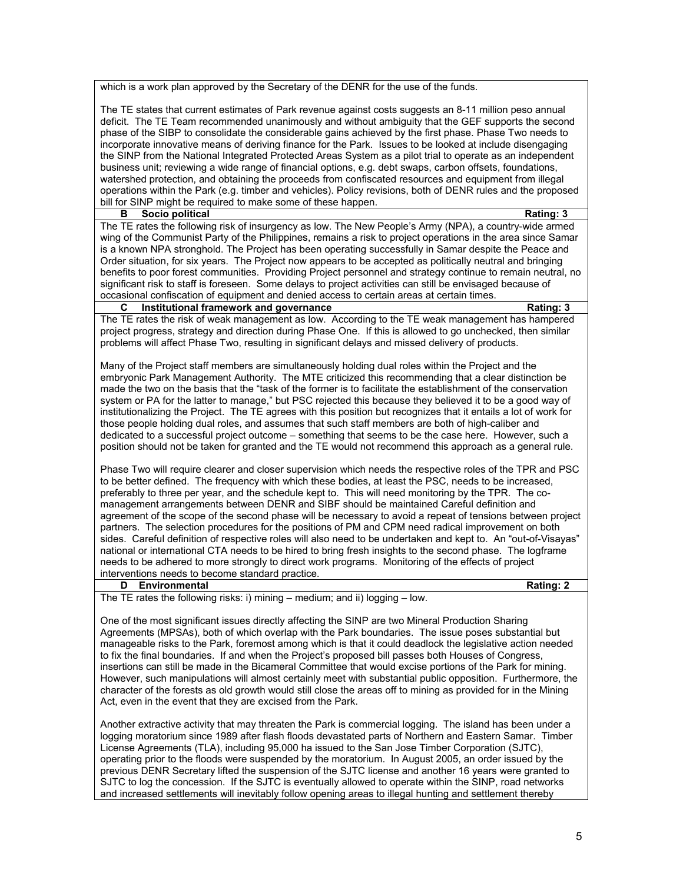which is a work plan approved by the Secretary of the DENR for the use of the funds.

The TE states that current estimates of Park revenue against costs suggests an 8-11 million peso annual deficit. The TE Team recommended unanimously and without ambiguity that the GEF supports the second phase of the SIBP to consolidate the considerable gains achieved by the first phase. Phase Two needs to incorporate innovative means of deriving finance for the Park. Issues to be looked at include disengaging the SINP from the National Integrated Protected Areas System as a pilot trial to operate as an independent business unit; reviewing a wide range of financial options, e.g. debt swaps, carbon offsets, foundations, watershed protection, and obtaining the proceeds from confiscated resources and equipment from illegal operations within the Park (e.g. timber and vehicles). Policy revisions, both of DENR rules and the proposed bill for SINP might be required to make some of these happen.

# **B** Socio political Rating: 3

The TE rates the following risk of insurgency as low. The New People's Army (NPA), a country-wide armed wing of the Communist Party of the Philippines, remains a risk to project operations in the area since Samar is a known NPA stronghold. The Project has been operating successfully in Samar despite the Peace and Order situation, for six years. The Project now appears to be accepted as politically neutral and bringing benefits to poor forest communities. Providing Project personnel and strategy continue to remain neutral, no significant risk to staff is foreseen. Some delays to project activities can still be envisaged because of occasional confiscation of equipment and denied access to certain areas at certain times.<br>
C Institutional framework and governance

# **CONFIDENTIAL INSTITUTION IN A THE INSTITUTION IN A THE INCREDICT AND RATING: 3**

The TE rates the risk of weak management as low. According to the TE weak management has hampered project progress, strategy and direction during Phase One. If this is allowed to go unchecked, then similar problems will affect Phase Two, resulting in significant delays and missed delivery of products.

Many of the Project staff members are simultaneously holding dual roles within the Project and the embryonic Park Management Authority. The MTE criticized this recommending that a clear distinction be made the two on the basis that the "task of the former is to facilitate the establishment of the conservation system or PA for the latter to manage," but PSC rejected this because they believed it to be a good way of institutionalizing the Project. The TE agrees with this position but recognizes that it entails a lot of work for those people holding dual roles, and assumes that such staff members are both of high-caliber and dedicated to a successful project outcome – something that seems to be the case here. However, such a position should not be taken for granted and the TE would not recommend this approach as a general rule.

Phase Two will require clearer and closer supervision which needs the respective roles of the TPR and PSC to be better defined. The frequency with which these bodies, at least the PSC, needs to be increased, preferably to three per year, and the schedule kept to. This will need monitoring by the TPR. The comanagement arrangements between DENR and SIBF should be maintained Careful definition and agreement of the scope of the second phase will be necessary to avoid a repeat of tensions between project partners. The selection procedures for the positions of PM and CPM need radical improvement on both sides. Careful definition of respective roles will also need to be undertaken and kept to. An "out-of-Visayas" national or international CTA needs to be hired to bring fresh insights to the second phase. The logframe needs to be adhered to more strongly to direct work programs. Monitoring of the effects of project interventions needs to become standard practice.

#### **D Environmental Rating: 2**

The TE rates the following risks: i) mining – medium; and ii) logging – low.

One of the most significant issues directly affecting the SINP are two Mineral Production Sharing Agreements (MPSAs), both of which overlap with the Park boundaries. The issue poses substantial but manageable risks to the Park, foremost among which is that it could deadlock the legislative action needed to fix the final boundaries. If and when the Project's proposed bill passes both Houses of Congress, insertions can still be made in the Bicameral Committee that would excise portions of the Park for mining. However, such manipulations will almost certainly meet with substantial public opposition. Furthermore, the character of the forests as old growth would still close the areas off to mining as provided for in the Mining Act, even in the event that they are excised from the Park.

Another extractive activity that may threaten the Park is commercial logging. The island has been under a logging moratorium since 1989 after flash floods devastated parts of Northern and Eastern Samar. Timber License Agreements (TLA), including 95,000 ha issued to the San Jose Timber Corporation (SJTC), operating prior to the floods were suspended by the moratorium. In August 2005, an order issued by the previous DENR Secretary lifted the suspension of the SJTC license and another 16 years were granted to SJTC to log the concession. If the SJTC is eventually allowed to operate within the SINP, road networks and increased settlements will inevitably follow opening areas to illegal hunting and settlement thereby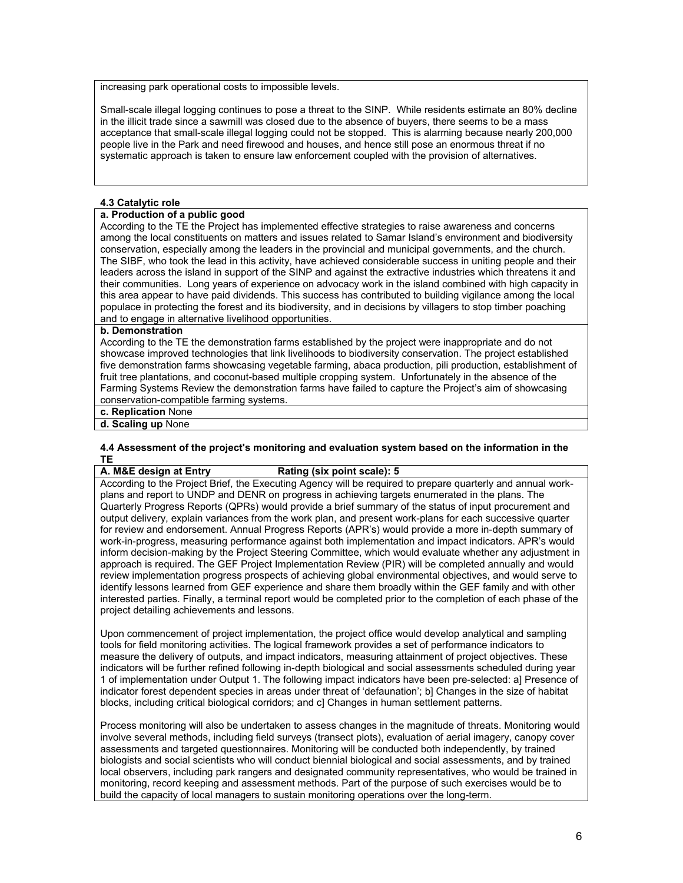increasing park operational costs to impossible levels.

Small-scale illegal logging continues to pose a threat to the SINP. While residents estimate an 80% decline in the illicit trade since a sawmill was closed due to the absence of buyers, there seems to be a mass acceptance that small-scale illegal logging could not be stopped. This is alarming because nearly 200,000 people live in the Park and need firewood and houses, and hence still pose an enormous threat if no systematic approach is taken to ensure law enforcement coupled with the provision of alternatives.

## **4.3 Catalytic role**

# **a. Production of a public good**

According to the TE the Project has implemented effective strategies to raise awareness and concerns among the local constituents on matters and issues related to Samar Island's environment and biodiversity conservation, especially among the leaders in the provincial and municipal governments, and the church. The SIBF, who took the lead in this activity, have achieved considerable success in uniting people and their leaders across the island in support of the SINP and against the extractive industries which threatens it and their communities. Long years of experience on advocacy work in the island combined with high capacity in this area appear to have paid dividends. This success has contributed to building vigilance among the local populace in protecting the forest and its biodiversity, and in decisions by villagers to stop timber poaching and to engage in alternative livelihood opportunities.

# **b. Demonstration**

According to the TE the demonstration farms established by the project were inappropriate and do not showcase improved technologies that link livelihoods to biodiversity conservation. The project established five demonstration farms showcasing vegetable farming, abaca production, pili production, establishment of fruit tree plantations, and coconut-based multiple cropping system. Unfortunately in the absence of the Farming Systems Review the demonstration farms have failed to capture the Project's aim of showcasing conservation-compatible farming systems.

#### **c. Replication** None

**d. Scaling up** None

# **4.4 Assessment of the project's monitoring and evaluation system based on the information in the**  <mark>TE</mark><br>A. M&E design at Entry

# **Rating** (six point scale): **5**

According to the Project Brief, the Executing Agency will be required to prepare quarterly and annual workplans and report to UNDP and DENR on progress in achieving targets enumerated in the plans. The Quarterly Progress Reports (QPRs) would provide a brief summary of the status of input procurement and output delivery, explain variances from the work plan, and present work-plans for each successive quarter for review and endorsement. Annual Progress Reports (APR's) would provide a more in-depth summary of work-in-progress, measuring performance against both implementation and impact indicators. APR's would inform decision-making by the Project Steering Committee, which would evaluate whether any adjustment in approach is required. The GEF Project Implementation Review (PIR) will be completed annually and would review implementation progress prospects of achieving global environmental objectives, and would serve to identify lessons learned from GEF experience and share them broadly within the GEF family and with other interested parties. Finally, a terminal report would be completed prior to the completion of each phase of the project detailing achievements and lessons.

Upon commencement of project implementation, the project office would develop analytical and sampling tools for field monitoring activities. The logical framework provides a set of performance indicators to measure the delivery of outputs, and impact indicators, measuring attainment of project objectives. These indicators will be further refined following in-depth biological and social assessments scheduled during year 1 of implementation under Output 1. The following impact indicators have been pre-selected: a] Presence of indicator forest dependent species in areas under threat of 'defaunation'; b] Changes in the size of habitat blocks, including critical biological corridors; and c] Changes in human settlement patterns.

Process monitoring will also be undertaken to assess changes in the magnitude of threats. Monitoring would involve several methods, including field surveys (transect plots), evaluation of aerial imagery, canopy cover assessments and targeted questionnaires. Monitoring will be conducted both independently, by trained biologists and social scientists who will conduct biennial biological and social assessments, and by trained local observers, including park rangers and designated community representatives, who would be trained in monitoring, record keeping and assessment methods. Part of the purpose of such exercises would be to build the capacity of local managers to sustain monitoring operations over the long-term.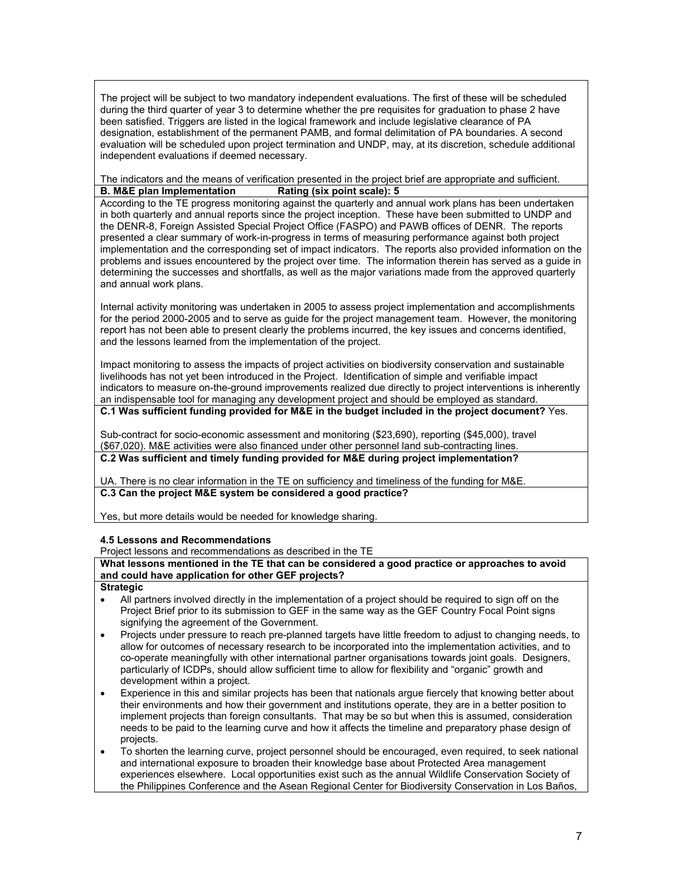The project will be subject to two mandatory independent evaluations. The first of these will be scheduled during the third quarter of year 3 to determine whether the pre requisites for graduation to phase 2 have been satisfied. Triggers are listed in the logical framework and include legislative clearance of PA designation, establishment of the permanent PAMB, and formal delimitation of PA boundaries. A second evaluation will be scheduled upon project termination and UNDP, may, at its discretion, schedule additional independent evaluations if deemed necessary.

The indicators and the means of verification presented in the project brief are appropriate and sufficient. **B. M&E plan Implementation Rating (six point scale): 5**

According to the TE progress monitoring against the quarterly and annual work plans has been undertaken in both quarterly and annual reports since the project inception. These have been submitted to UNDP and the DENR-8, Foreign Assisted Special Project Office (FASPO) and PAWB offices of DENR. The reports presented a clear summary of work-in-progress in terms of measuring performance against both project implementation and the corresponding set of impact indicators. The reports also provided information on the problems and issues encountered by the project over time. The information therein has served as a guide in determining the successes and shortfalls, as well as the major variations made from the approved quarterly and annual work plans.

Internal activity monitoring was undertaken in 2005 to assess project implementation and accomplishments for the period 2000-2005 and to serve as guide for the project management team. However, the monitoring report has not been able to present clearly the problems incurred, the key issues and concerns identified, and the lessons learned from the implementation of the project.

Impact monitoring to assess the impacts of project activities on biodiversity conservation and sustainable livelihoods has not yet been introduced in the Project. Identification of simple and verifiable impact indicators to measure on-the-ground improvements realized due directly to project interventions is inherently an indispensable tool for managing any development project and should be employed as standard.

**C.1 Was sufficient funding provided for M&E in the budget included in the project document?** Yes.

Sub-contract for socio-economic assessment and monitoring (\$23,690), reporting (\$45,000), travel (\$67,020). M&E activities were also financed under other personnel land sub-contracting lines. **C.2 Was sufficient and timely funding provided for M&E during project implementation?**

UA. There is no clear information in the TE on sufficiency and timeliness of the funding for M&E. **C.3 Can the project M&E system be considered a good practice?**

Yes, but more details would be needed for knowledge sharing.

# **4.5 Lessons and Recommendations**

Project lessons and recommendations as described in the TE

**What lessons mentioned in the TE that can be considered a good practice or approaches to avoid and could have application for other GEF projects?**

### **Strategic**

- All partners involved directly in the implementation of a project should be required to sign off on the Project Brief prior to its submission to GEF in the same way as the GEF Country Focal Point signs signifying the agreement of the Government.
- Projects under pressure to reach pre-planned targets have little freedom to adjust to changing needs, to allow for outcomes of necessary research to be incorporated into the implementation activities, and to co-operate meaningfully with other international partner organisations towards joint goals. Designers, particularly of ICDPs, should allow sufficient time to allow for flexibility and "organic" growth and development within a project.
- Experience in this and similar projects has been that nationals argue fiercely that knowing better about their environments and how their government and institutions operate, they are in a better position to implement projects than foreign consultants. That may be so but when this is assumed, consideration needs to be paid to the learning curve and how it affects the timeline and preparatory phase design of projects.
- To shorten the learning curve, project personnel should be encouraged, even required, to seek national and international exposure to broaden their knowledge base about Protected Area management experiences elsewhere. Local opportunities exist such as the annual Wildlife Conservation Society of the Philippines Conference and the Asean Regional Center for Biodiversity Conservation in Los Baños,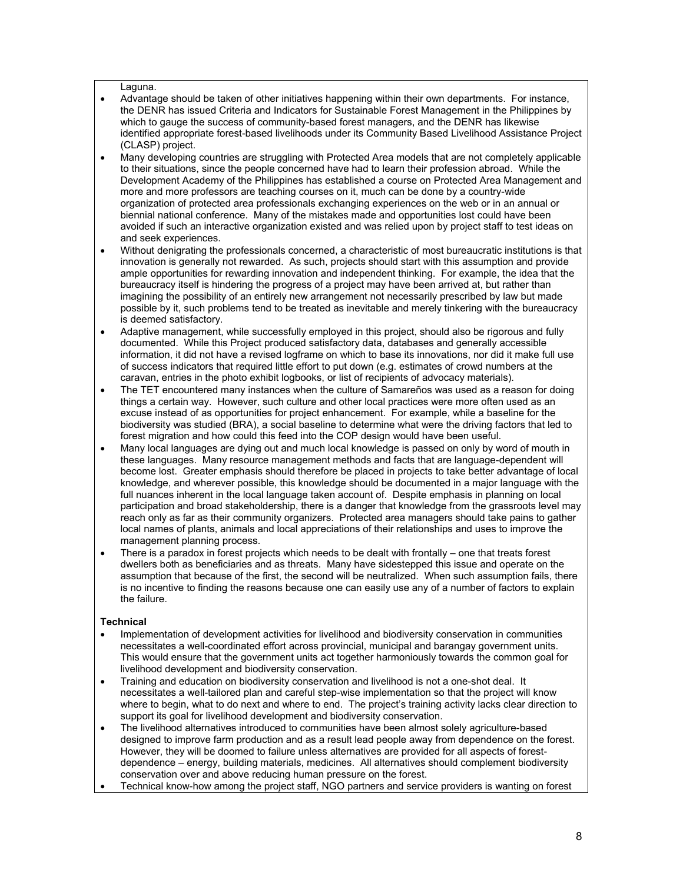#### Laguna.

- Advantage should be taken of other initiatives happening within their own departments. For instance, the DENR has issued Criteria and Indicators for Sustainable Forest Management in the Philippines by which to gauge the success of community-based forest managers, and the DENR has likewise identified appropriate forest-based livelihoods under its Community Based Livelihood Assistance Project (CLASP) project.
- Many developing countries are struggling with Protected Area models that are not completely applicable to their situations, since the people concerned have had to learn their profession abroad. While the Development Academy of the Philippines has established a course on Protected Area Management and more and more professors are teaching courses on it, much can be done by a country-wide organization of protected area professionals exchanging experiences on the web or in an annual or biennial national conference. Many of the mistakes made and opportunities lost could have been avoided if such an interactive organization existed and was relied upon by project staff to test ideas on and seek experiences.
- Without denigrating the professionals concerned, a characteristic of most bureaucratic institutions is that innovation is generally not rewarded. As such, projects should start with this assumption and provide ample opportunities for rewarding innovation and independent thinking. For example, the idea that the bureaucracy itself is hindering the progress of a project may have been arrived at, but rather than imagining the possibility of an entirely new arrangement not necessarily prescribed by law but made possible by it, such problems tend to be treated as inevitable and merely tinkering with the bureaucracy is deemed satisfactory.
- Adaptive management, while successfully employed in this project, should also be rigorous and fully documented. While this Project produced satisfactory data, databases and generally accessible information, it did not have a revised logframe on which to base its innovations, nor did it make full use of success indicators that required little effort to put down (e.g. estimates of crowd numbers at the caravan, entries in the photo exhibit logbooks, or list of recipients of advocacy materials).
- The TET encountered many instances when the culture of Samareños was used as a reason for doing things a certain way. However, such culture and other local practices were more often used as an excuse instead of as opportunities for project enhancement. For example, while a baseline for the biodiversity was studied (BRA), a social baseline to determine what were the driving factors that led to forest migration and how could this feed into the COP design would have been useful.
- Many local languages are dying out and much local knowledge is passed on only by word of mouth in these languages. Many resource management methods and facts that are language-dependent will become lost. Greater emphasis should therefore be placed in projects to take better advantage of local knowledge, and wherever possible, this knowledge should be documented in a major language with the full nuances inherent in the local language taken account of. Despite emphasis in planning on local participation and broad stakeholdership, there is a danger that knowledge from the grassroots level may reach only as far as their community organizers. Protected area managers should take pains to gather local names of plants, animals and local appreciations of their relationships and uses to improve the management planning process.
- There is a paradox in forest projects which needs to be dealt with frontally one that treats forest dwellers both as beneficiaries and as threats. Many have sidestepped this issue and operate on the assumption that because of the first, the second will be neutralized. When such assumption fails, there is no incentive to finding the reasons because one can easily use any of a number of factors to explain the failure.

# **Technical**

- Implementation of development activities for livelihood and biodiversity conservation in communities necessitates a well-coordinated effort across provincial, municipal and barangay government units. This would ensure that the government units act together harmoniously towards the common goal for livelihood development and biodiversity conservation.
- Training and education on biodiversity conservation and livelihood is not a one-shot deal. It necessitates a well-tailored plan and careful step-wise implementation so that the project will know where to begin, what to do next and where to end. The project's training activity lacks clear direction to support its goal for livelihood development and biodiversity conservation.
- The livelihood alternatives introduced to communities have been almost solely agriculture-based designed to improve farm production and as a result lead people away from dependence on the forest. However, they will be doomed to failure unless alternatives are provided for all aspects of forestdependence – energy, building materials, medicines. All alternatives should complement biodiversity conservation over and above reducing human pressure on the forest.
- Technical know-how among the project staff, NGO partners and service providers is wanting on forest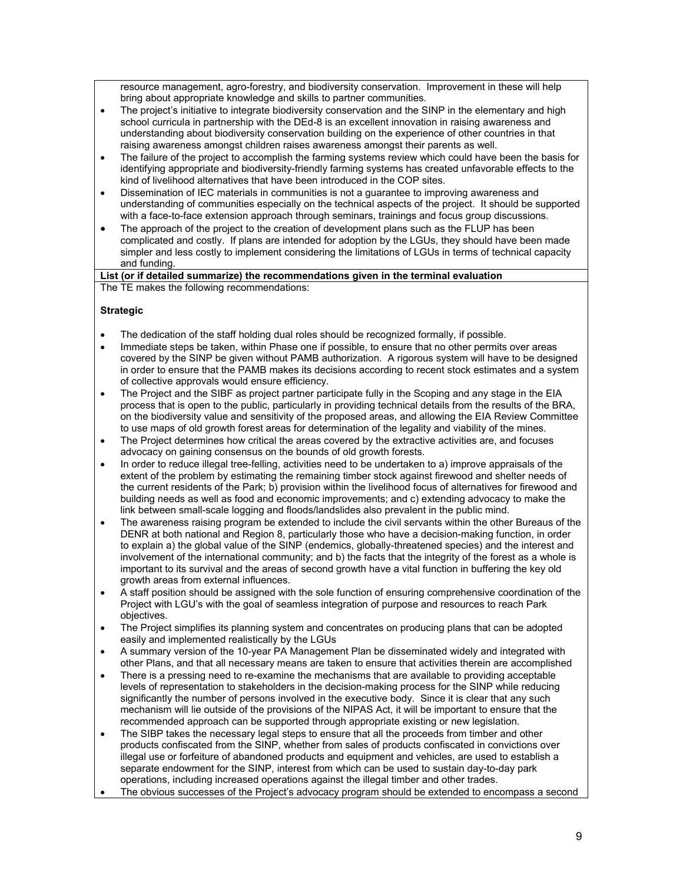resource management, agro-forestry, and biodiversity conservation. Improvement in these will help bring about appropriate knowledge and skills to partner communities.

- The project's initiative to integrate biodiversity conservation and the SINP in the elementary and high school curricula in partnership with the DEd-8 is an excellent innovation in raising awareness and understanding about biodiversity conservation building on the experience of other countries in that raising awareness amongst children raises awareness amongst their parents as well.
- The failure of the project to accomplish the farming systems review which could have been the basis for identifying appropriate and biodiversity-friendly farming systems has created unfavorable effects to the kind of livelihood alternatives that have been introduced in the COP sites.
- Dissemination of IEC materials in communities is not a guarantee to improving awareness and understanding of communities especially on the technical aspects of the project. It should be supported with a face-to-face extension approach through seminars, trainings and focus group discussions.
- The approach of the project to the creation of development plans such as the FLUP has been complicated and costly. If plans are intended for adoption by the LGUs, they should have been made simpler and less costly to implement considering the limitations of LGUs in terms of technical capacity and funding.

**List (or if detailed summarize) the recommendations given in the terminal evaluation**  The TE makes the following recommendations:

# **Strategic**

- The dedication of the staff holding dual roles should be recognized formally, if possible.
- Immediate steps be taken, within Phase one if possible, to ensure that no other permits over areas covered by the SINP be given without PAMB authorization. A rigorous system will have to be designed in order to ensure that the PAMB makes its decisions according to recent stock estimates and a system of collective approvals would ensure efficiency.
- The Project and the SIBF as project partner participate fully in the Scoping and any stage in the EIA process that is open to the public, particularly in providing technical details from the results of the BRA, on the biodiversity value and sensitivity of the proposed areas, and allowing the EIA Review Committee to use maps of old growth forest areas for determination of the legality and viability of the mines.
- The Project determines how critical the areas covered by the extractive activities are, and focuses advocacy on gaining consensus on the bounds of old growth forests.
- In order to reduce illegal tree-felling, activities need to be undertaken to a) improve appraisals of the extent of the problem by estimating the remaining timber stock against firewood and shelter needs of the current residents of the Park; b) provision within the livelihood focus of alternatives for firewood and building needs as well as food and economic improvements; and c) extending advocacy to make the link between small-scale logging and floods/landslides also prevalent in the public mind.
- The awareness raising program be extended to include the civil servants within the other Bureaus of the DENR at both national and Region 8, particularly those who have a decision-making function, in order to explain a) the global value of the SINP (endemics, globally-threatened species) and the interest and involvement of the international community; and b) the facts that the integrity of the forest as a whole is important to its survival and the areas of second growth have a vital function in buffering the key old growth areas from external influences.
- A staff position should be assigned with the sole function of ensuring comprehensive coordination of the Project with LGU's with the goal of seamless integration of purpose and resources to reach Park objectives.
- The Project simplifies its planning system and concentrates on producing plans that can be adopted easily and implemented realistically by the LGUs
- A summary version of the 10-year PA Management Plan be disseminated widely and integrated with other Plans, and that all necessary means are taken to ensure that activities therein are accomplished
- There is a pressing need to re-examine the mechanisms that are available to providing acceptable levels of representation to stakeholders in the decision-making process for the SINP while reducing significantly the number of persons involved in the executive body. Since it is clear that any such mechanism will lie outside of the provisions of the NIPAS Act, it will be important to ensure that the recommended approach can be supported through appropriate existing or new legislation.
- The SIBP takes the necessary legal steps to ensure that all the proceeds from timber and other products confiscated from the SINP, whether from sales of products confiscated in convictions over illegal use or forfeiture of abandoned products and equipment and vehicles, are used to establish a separate endowment for the SINP, interest from which can be used to sustain day-to-day park operations, including increased operations against the illegal timber and other trades.
- The obvious successes of the Project's advocacy program should be extended to encompass a second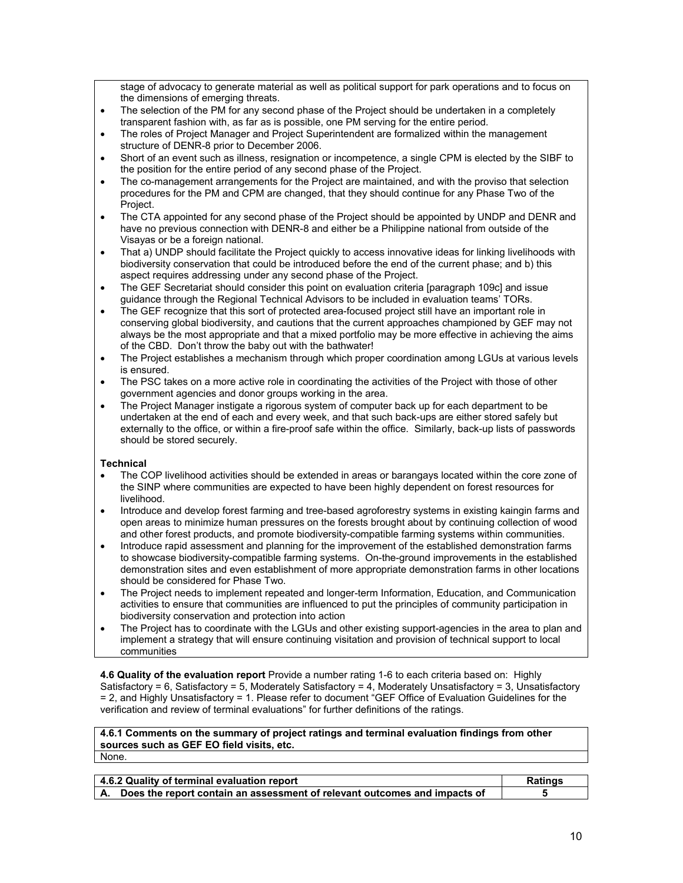stage of advocacy to generate material as well as political support for park operations and to focus on the dimensions of emerging threats.

- The selection of the PM for any second phase of the Project should be undertaken in a completely transparent fashion with, as far as is possible, one PM serving for the entire period.
- The roles of Project Manager and Project Superintendent are formalized within the management structure of DENR-8 prior to December 2006.
- Short of an event such as illness, resignation or incompetence, a single CPM is elected by the SIBF to the position for the entire period of any second phase of the Project.
- The co-management arrangements for the Project are maintained, and with the proviso that selection procedures for the PM and CPM are changed, that they should continue for any Phase Two of the Project.
- The CTA appointed for any second phase of the Project should be appointed by UNDP and DENR and have no previous connection with DENR-8 and either be a Philippine national from outside of the Visayas or be a foreign national.
- That a) UNDP should facilitate the Project quickly to access innovative ideas for linking livelihoods with biodiversity conservation that could be introduced before the end of the current phase; and b) this aspect requires addressing under any second phase of the Project.
- The GEF Secretariat should consider this point on evaluation criteria [paragraph 109c] and issue guidance through the Regional Technical Advisors to be included in evaluation teams' TORs.
- The GEF recognize that this sort of protected area-focused project still have an important role in conserving global biodiversity, and cautions that the current approaches championed by GEF may not always be the most appropriate and that a mixed portfolio may be more effective in achieving the aims of the CBD. Don't throw the baby out with the bathwater!
- The Project establishes a mechanism through which proper coordination among LGUs at various levels is ensured.
- The PSC takes on a more active role in coordinating the activities of the Project with those of other government agencies and donor groups working in the area.
- The Project Manager instigate a rigorous system of computer back up for each department to be undertaken at the end of each and every week, and that such back-ups are either stored safely but externally to the office, or within a fire-proof safe within the office. Similarly, back-up lists of passwords should be stored securely.

### **Technical**

- The COP livelihood activities should be extended in areas or barangays located within the core zone of the SINP where communities are expected to have been highly dependent on forest resources for livelihood.
- Introduce and develop forest farming and tree-based agroforestry systems in existing kaingin farms and open areas to minimize human pressures on the forests brought about by continuing collection of wood and other forest products, and promote biodiversity-compatible farming systems within communities.
- Introduce rapid assessment and planning for the improvement of the established demonstration farms to showcase biodiversity-compatible farming systems. On-the-ground improvements in the established demonstration sites and even establishment of more appropriate demonstration farms in other locations should be considered for Phase Two.
- The Project needs to implement repeated and longer-term Information, Education, and Communication activities to ensure that communities are influenced to put the principles of community participation in biodiversity conservation and protection into action
- The Project has to coordinate with the LGUs and other existing support-agencies in the area to plan and implement a strategy that will ensure continuing visitation and provision of technical support to local communities

**4.6 Quality of the evaluation report** Provide a number rating 1-6 to each criteria based on: Highly Satisfactory = 6, Satisfactory = 5, Moderately Satisfactory = 4, Moderately Unsatisfactory = 3, Unsatisfactory = 2, and Highly Unsatisfactory = 1. Please refer to document "GEF Office of Evaluation Guidelines for the verification and review of terminal evaluations" for further definitions of the ratings.

**4.6.1 Comments on the summary of project ratings and terminal evaluation findings from other sources such as GEF EO field visits, etc.** None.

| 4.6.2 Quality of terminal evaluation report |                                                                              | Ratinɑs |
|---------------------------------------------|------------------------------------------------------------------------------|---------|
|                                             | A. Does the report contain an assessment of relevant outcomes and impacts of |         |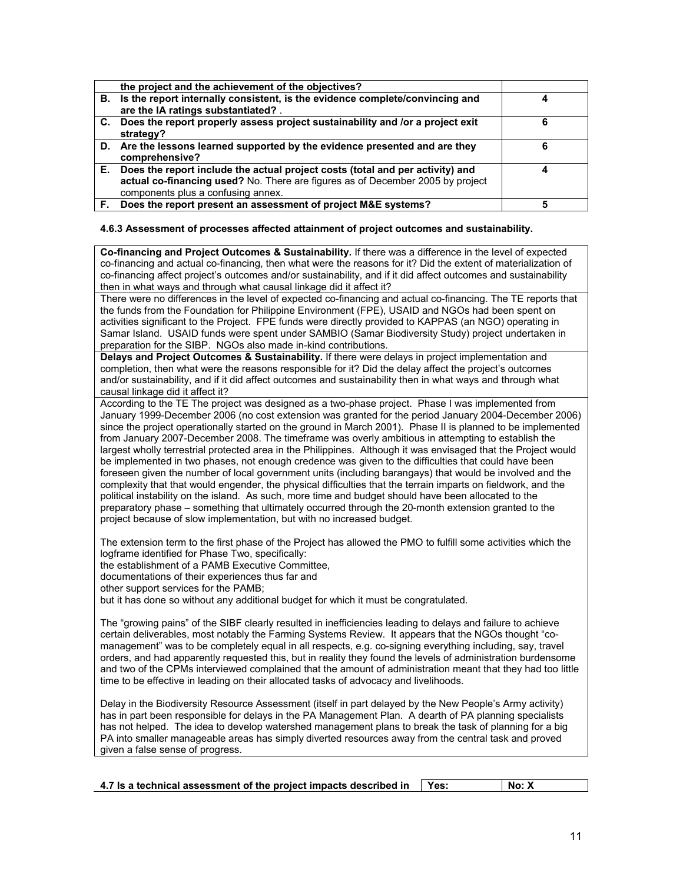|    | the project and the achievement of the objectives?                                                                                                                                                    |   |
|----|-------------------------------------------------------------------------------------------------------------------------------------------------------------------------------------------------------|---|
| В. | Is the report internally consistent, is the evidence complete/convincing and<br>are the IA ratings substantiated? .                                                                                   |   |
| C. | Does the report properly assess project sustainability and /or a project exit<br>strategy?                                                                                                            | 6 |
|    | D. Are the lessons learned supported by the evidence presented and are they<br>comprehensive?                                                                                                         | 6 |
| Е. | Does the report include the actual project costs (total and per activity) and<br>actual co-financing used? No. There are figures as of December 2005 by project<br>components plus a confusing annex. |   |
|    | Does the report present an assessment of project M&E systems?                                                                                                                                         |   |

## **4.6.3 Assessment of processes affected attainment of project outcomes and sustainability.**

**Co-financing and Project Outcomes & Sustainability.** If there was a difference in the level of expected co-financing and actual co-financing, then what were the reasons for it? Did the extent of materialization of co-financing affect project's outcomes and/or sustainability, and if it did affect outcomes and sustainability then in what ways and through what causal linkage did it affect it?

There were no differences in the level of expected co-financing and actual co-financing. The TE reports that the funds from the Foundation for Philippine Environment (FPE), USAID and NGOs had been spent on activities significant to the Project. FPE funds were directly provided to KAPPAS (an NGO) operating in Samar Island. USAID funds were spent under SAMBIO (Samar Biodiversity Study) project undertaken in preparation for the SIBP. NGOs also made in-kind contributions.

**Delays and Project Outcomes & Sustainability.** If there were delays in project implementation and completion, then what were the reasons responsible for it? Did the delay affect the project's outcomes and/or sustainability, and if it did affect outcomes and sustainability then in what ways and through what causal linkage did it affect it?

According to the TE The project was designed as a two-phase project. Phase I was implemented from January 1999-December 2006 (no cost extension was granted for the period January 2004-December 2006) since the project operationally started on the ground in March 2001). Phase II is planned to be implemented from January 2007-December 2008. The timeframe was overly ambitious in attempting to establish the largest wholly terrestrial protected area in the Philippines. Although it was envisaged that the Project would be implemented in two phases, not enough credence was given to the difficulties that could have been foreseen given the number of local government units (including barangays) that would be involved and the complexity that that would engender, the physical difficulties that the terrain imparts on fieldwork, and the political instability on the island. As such, more time and budget should have been allocated to the preparatory phase – something that ultimately occurred through the 20-month extension granted to the project because of slow implementation, but with no increased budget.

The extension term to the first phase of the Project has allowed the PMO to fulfill some activities which the logframe identified for Phase Two, specifically:

the establishment of a PAMB Executive Committee,

documentations of their experiences thus far and

other support services for the PAMB;

but it has done so without any additional budget for which it must be congratulated.

The "growing pains" of the SIBF clearly resulted in inefficiencies leading to delays and failure to achieve certain deliverables, most notably the Farming Systems Review. It appears that the NGOs thought "comanagement" was to be completely equal in all respects, e.g. co-signing everything including, say, travel orders, and had apparently requested this, but in reality they found the levels of administration burdensome and two of the CPMs interviewed complained that the amount of administration meant that they had too little time to be effective in leading on their allocated tasks of advocacy and livelihoods.

Delay in the Biodiversity Resource Assessment (itself in part delayed by the New People's Army activity) has in part been responsible for delays in the PA Management Plan. A dearth of PA planning specialists has not helped. The idea to develop watershed management plans to break the task of planning for a big PA into smaller manageable areas has simply diverted resources away from the central task and proved given a false sense of progress.

|  | 4.7 Is a technical assessment of the project impacts described in |  | l Yes: | No: X |
|--|-------------------------------------------------------------------|--|--------|-------|
|--|-------------------------------------------------------------------|--|--------|-------|